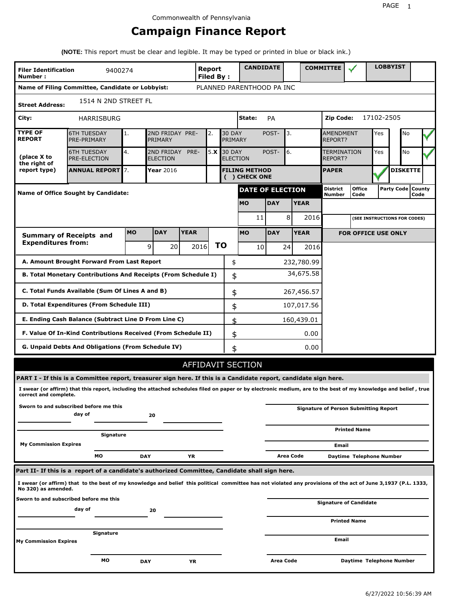# **Campaign Finance Report**

**(NOTE:** This report must be clear and legible. It may be typed or printed in blue or black ink.)

| <b>Filer Identification</b><br>Number: | 9400274                                                                                                                                                         |           |                               |             | <b>Report</b><br><b>Filed By:</b> |                          | <b>CANDIDATE</b>                     |                  |             | <b>COMMITTEE</b>                             |                            |            | <b>LOBBYIST</b>              |                             |
|----------------------------------------|-----------------------------------------------------------------------------------------------------------------------------------------------------------------|-----------|-------------------------------|-------------|-----------------------------------|--------------------------|--------------------------------------|------------------|-------------|----------------------------------------------|----------------------------|------------|------------------------------|-----------------------------|
|                                        | Name of Filing Committee, Candidate or Lobbyist:                                                                                                                |           |                               |             |                                   |                          | PLANNED PARENTHOOD PA INC            |                  |             |                                              |                            |            |                              |                             |
| <b>Street Address:</b>                 | 1514 N 2ND STREET FL                                                                                                                                            |           |                               |             |                                   |                          |                                      |                  |             |                                              |                            |            |                              |                             |
| City:                                  | HARRISBURG                                                                                                                                                      |           |                               |             |                                   |                          | State:                               | <b>PA</b>        |             | Zip Code:                                    |                            | 17102-2505 |                              |                             |
| <b>TYPE OF</b><br><b>REPORT</b>        | <b>6TH TUESDAY</b><br>PRE-PRIMARY                                                                                                                               | 1.        | 2ND FRIDAY PRE-<br>PRIMARY    |             | 2.                                | <b>30 DAY</b><br>PRIMARY |                                      | POST-            | 3.          | <b>AMENDMENT</b><br><b>REPORT?</b>           |                            | Yes        | No                           |                             |
| (place X to<br>the right of            | <b>6TH TUESDAY</b><br><b>PRE-ELECTION</b>                                                                                                                       | 4.        | 2ND FRIDAY<br><b>ELECTION</b> | PRE-        | 5.X                               | <b>30 DAY</b>            | <b>ELECTION</b>                      | POST-            | 6.          | TERMINATION<br>REPORT?                       |                            | Yes        | No                           |                             |
| report type)                           | <b>ANNUAL REPORT</b> 7.                                                                                                                                         |           | Year 2016                     |             |                                   |                          | <b>FILING METHOD</b><br>() CHECK ONE |                  |             | <b>PAPER</b>                                 |                            |            | <b>DISKETTE</b>              |                             |
|                                        | Name of Office Sought by Candidate:                                                                                                                             |           |                               |             |                                   |                          | <b>DATE OF ELECTION</b>              |                  |             | <b>District</b><br><b>Number</b>             | <b>Office</b><br>Code      |            |                              | Party Code   County<br>Code |
|                                        |                                                                                                                                                                 |           |                               |             |                                   |                          | <b>MO</b>                            | <b>DAY</b>       | <b>YEAR</b> |                                              |                            |            |                              |                             |
|                                        |                                                                                                                                                                 |           |                               |             |                                   |                          | 11                                   |                  | 8<br>2016   |                                              |                            |            | (SEE INSTRUCTIONS FOR CODES) |                             |
|                                        | <b>Summary of Receipts and</b>                                                                                                                                  | <b>MO</b> | <b>DAY</b>                    | <b>YEAR</b> |                                   |                          | <b>MO</b>                            | <b>DAY</b>       | <b>YEAR</b> |                                              | <b>FOR OFFICE USE ONLY</b> |            |                              |                             |
| <b>Expenditures from:</b>              |                                                                                                                                                                 |           | 9<br>20                       |             | 2016                              | ΤO                       | 10                                   |                  | 241<br>2016 |                                              |                            |            |                              |                             |
|                                        | A. Amount Brought Forward From Last Report                                                                                                                      |           |                               |             |                                   | \$                       |                                      |                  | 232,780.99  |                                              |                            |            |                              |                             |
|                                        | B. Total Monetary Contributions And Receipts (From Schedule I)                                                                                                  |           |                               |             |                                   | \$                       |                                      |                  | 34,675.58   |                                              |                            |            |                              |                             |
|                                        | C. Total Funds Available (Sum Of Lines A and B)                                                                                                                 |           |                               |             |                                   | \$                       |                                      |                  | 267,456.57  |                                              |                            |            |                              |                             |
|                                        | D. Total Expenditures (From Schedule III)                                                                                                                       |           |                               |             |                                   | \$                       |                                      |                  | 107,017.56  |                                              |                            |            |                              |                             |
|                                        | E. Ending Cash Balance (Subtract Line D From Line C)                                                                                                            |           |                               |             |                                   | \$                       |                                      |                  | 160,439.01  |                                              |                            |            |                              |                             |
|                                        | F. Value Of In-Kind Contributions Received (From Schedule II)                                                                                                   |           |                               |             |                                   | \$                       |                                      |                  | 0.00        |                                              |                            |            |                              |                             |
|                                        | <b>G. Unpaid Debts And Obligations (From Schedule IV)</b>                                                                                                       |           |                               |             |                                   | \$                       |                                      |                  | 0.00        |                                              |                            |            |                              |                             |
|                                        |                                                                                                                                                                 |           |                               |             |                                   |                          | AFFIDAVIT SECTION                    |                  |             |                                              |                            |            |                              |                             |
|                                        | PART I - If this is a Committee report, treasurer sign here. If this is a Candidate report, candidate sign here.                                                |           |                               |             |                                   |                          |                                      |                  |             |                                              |                            |            |                              |                             |
| correct and complete.                  | I swear (or affirm) that this report, including the attached schedules filed on paper or by electronic medium, are to the best of my knowledge and belief, true |           |                               |             |                                   |                          |                                      |                  |             |                                              |                            |            |                              |                             |
|                                        | Sworn to and subscribed before me this<br>day of                                                                                                                |           | 20                            |             |                                   |                          |                                      |                  |             | <b>Signature of Person Submitting Report</b> |                            |            |                              |                             |
|                                        | Signature                                                                                                                                                       |           |                               |             |                                   |                          |                                      |                  |             |                                              | <b>Printed Name</b>        |            |                              |                             |
| <b>My Commission Expires</b>           |                                                                                                                                                                 |           |                               |             |                                   |                          |                                      |                  |             | Email                                        |                            |            |                              |                             |
|                                        | МO                                                                                                                                                              |           | <b>DAY</b>                    | YR          |                                   |                          |                                      |                  | Area Code   |                                              | Daytime Telephone Number   |            |                              |                             |
|                                        | Part II- If this is a report of a candidate's authorized Committee, Candidate shall sign here.                                                                  |           |                               |             |                                   |                          |                                      |                  |             |                                              |                            |            |                              |                             |
| No 320) as amended.                    | I swear (or affirm) that to the best of my knowledge and belief this political committee has not violated any provisions of the act of June 3,1937 (P.L. 1333,  |           |                               |             |                                   |                          |                                      |                  |             |                                              |                            |            |                              |                             |
|                                        | Sworn to and subscribed before me this<br>day of                                                                                                                |           | 20                            |             |                                   |                          |                                      |                  |             | <b>Signature of Candidate</b>                |                            |            |                              |                             |
|                                        |                                                                                                                                                                 |           |                               |             |                                   |                          |                                      |                  |             |                                              | <b>Printed Name</b>        |            |                              |                             |
| My Commission Expires                  | Signature                                                                                                                                                       |           |                               |             |                                   |                          |                                      |                  |             | Email                                        |                            |            |                              |                             |
|                                        | МO                                                                                                                                                              |           | <b>DAY</b>                    | ΥR          |                                   |                          |                                      | <b>Area Code</b> |             |                                              | Daytime Telephone Number   |            |                              |                             |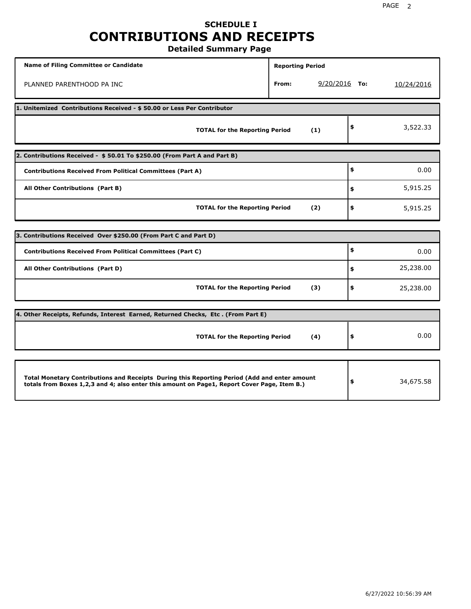## **SCHEDULE I CONTRIBUTIONS AND RECEIPTS Detailed Summary Page**

| <b>Name of Filing Committee or Candidate</b>                                                                                                                                                | <b>Reporting Period</b> |                 |                 |
|---------------------------------------------------------------------------------------------------------------------------------------------------------------------------------------------|-------------------------|-----------------|-----------------|
| PLANNED PARENTHOOD PA INC                                                                                                                                                                   | From:                   | $9/20/2016$ To: | 10/24/2016      |
| 1. Unitemized Contributions Received - \$50.00 or Less Per Contributor                                                                                                                      |                         |                 |                 |
| <b>TOTAL for the Reporting Period</b>                                                                                                                                                       |                         | (1)             | \$<br>3,522.33  |
| 2. Contributions Received - \$50.01 To \$250.00 (From Part A and Part B)                                                                                                                    |                         |                 |                 |
| <b>Contributions Received From Political Committees (Part A)</b>                                                                                                                            |                         |                 | \$<br>0.00      |
| All Other Contributions (Part B)                                                                                                                                                            |                         |                 | \$<br>5,915.25  |
| <b>TOTAL for the Reporting Period</b>                                                                                                                                                       |                         | (2)             | \$<br>5,915.25  |
|                                                                                                                                                                                             |                         |                 |                 |
| 3. Contributions Received Over \$250.00 (From Part C and Part D)                                                                                                                            |                         |                 |                 |
| <b>Contributions Received From Political Committees (Part C)</b>                                                                                                                            |                         |                 | \$<br>0.00      |
| All Other Contributions (Part D)                                                                                                                                                            |                         |                 | \$<br>25,238.00 |
| <b>TOTAL for the Reporting Period</b>                                                                                                                                                       |                         | (3)             | \$<br>25,238.00 |
| 4. Other Receipts, Refunds, Interest Earned, Returned Checks, Etc. (From Part E)                                                                                                            |                         |                 |                 |
|                                                                                                                                                                                             |                         |                 |                 |
| <b>TOTAL for the Reporting Period</b>                                                                                                                                                       |                         | (4)             | \$<br>0.00      |
|                                                                                                                                                                                             |                         |                 |                 |
| Total Monetary Contributions and Receipts During this Reporting Period (Add and enter amount<br>totals from Boxes 1,2,3 and 4; also enter this amount on Page1, Report Cover Page, Item B.) |                         |                 | \$<br>34,675.58 |

 $\mathbf{I}$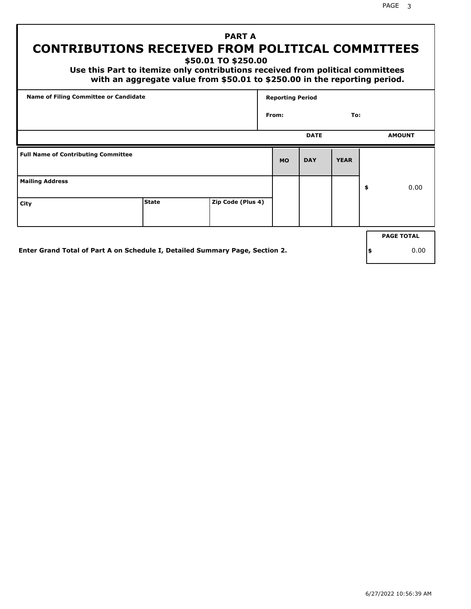# **PART A CONTRIBUTIONS RECEIVED FROM POLITICAL COMMITTEES**

**\$50.01 TO \$250.00**

 **Use this Part to itemize only contributions received from political committees with an aggregate value from \$50.01 to \$250.00 in the reporting period.**

| Name of Filing Committee or Candidate      |              |                   | <b>Reporting Period</b> |             |             |                   |
|--------------------------------------------|--------------|-------------------|-------------------------|-------------|-------------|-------------------|
|                                            |              |                   | From:                   |             | To:         |                   |
|                                            |              |                   |                         | <b>DATE</b> |             | <b>AMOUNT</b>     |
| <b>Full Name of Contributing Committee</b> |              |                   | <b>MO</b>               | <b>DAY</b>  | <b>YEAR</b> |                   |
| <b>Mailing Address</b>                     |              |                   |                         |             |             | \$<br>0.00        |
| City                                       | <b>State</b> | Zip Code (Plus 4) |                         |             |             |                   |
|                                            |              |                   |                         |             |             | <b>PAGE TOTAL</b> |
|                                            |              |                   |                         |             |             |                   |

**Enter Grand Total of Part A on Schedule I, Detailed Summary Page, Section 2.**

**\$** 0.00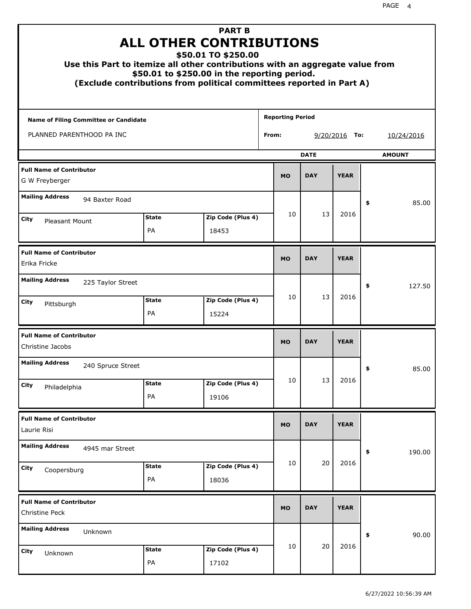| Use this Part to itemize all other contributions with an aggregate value from<br>(Exclude contributions from political committees reported in Part A) |                    | <b>PART B</b><br><b>ALL OTHER CONTRIBUTIONS</b><br>\$50.01 TO \$250.00<br>\$50.01 to \$250.00 in the reporting period. |                         |           |             |                 |    |               |
|-------------------------------------------------------------------------------------------------------------------------------------------------------|--------------------|------------------------------------------------------------------------------------------------------------------------|-------------------------|-----------|-------------|-----------------|----|---------------|
| Name of Filing Committee or Candidate                                                                                                                 |                    |                                                                                                                        | <b>Reporting Period</b> |           |             |                 |    |               |
| PLANNED PARENTHOOD PA INC                                                                                                                             |                    |                                                                                                                        | From:                   |           |             | $9/20/2016$ To: |    | 10/24/2016    |
|                                                                                                                                                       |                    |                                                                                                                        |                         |           | <b>DATE</b> |                 |    | <b>AMOUNT</b> |
| <b>Full Name of Contributor</b><br>G W Freyberger                                                                                                     |                    |                                                                                                                        |                         | <b>MO</b> | <b>DAY</b>  | <b>YEAR</b>     |    |               |
| <b>Mailing Address</b><br>94 Baxter Road                                                                                                              |                    |                                                                                                                        |                         |           |             |                 | \$ | 85.00         |
| City<br>Pleasant Mount                                                                                                                                | <b>State</b>       | Zip Code (Plus 4)                                                                                                      |                         | 10        | 13          | 2016            |    |               |
|                                                                                                                                                       | PA                 | 18453                                                                                                                  |                         |           |             |                 |    |               |
| <b>Full Name of Contributor</b><br>Erika Fricke                                                                                                       |                    |                                                                                                                        |                         | <b>MO</b> | <b>DAY</b>  | <b>YEAR</b>     |    |               |
| <b>Mailing Address</b><br>225 Taylor Street                                                                                                           |                    |                                                                                                                        |                         |           |             |                 | \$ | 127.50        |
| City<br>Pittsburgh                                                                                                                                    | <b>State</b><br>PA | Zip Code (Plus 4)<br>15224                                                                                             |                         | 10        | 13          | 2016            |    |               |
| <b>Full Name of Contributor</b><br>Christine Jacobs                                                                                                   |                    |                                                                                                                        |                         | <b>MO</b> | <b>DAY</b>  | <b>YEAR</b>     |    |               |
| <b>Mailing Address</b><br>240 Spruce Street                                                                                                           |                    |                                                                                                                        |                         |           |             |                 | ÷, | 85.00         |
| <b>City</b><br>Philadelphia                                                                                                                           | <b>State</b><br>PA | Zip Code (Plus 4)<br>19106                                                                                             |                         | 10        | 13          | 2016            |    |               |
| <b>Full Name of Contributor</b><br>Laurie Risi                                                                                                        |                    |                                                                                                                        |                         | <b>MO</b> | <b>DAY</b>  | <b>YEAR</b>     |    |               |
| <b>Mailing Address</b><br>4945 mar Street                                                                                                             |                    |                                                                                                                        |                         |           |             |                 | \$ | 190.00        |
| City<br>Coopersburg                                                                                                                                   | <b>State</b><br>PA | Zip Code (Plus 4)<br>18036                                                                                             |                         | 10        | 20          | 2016            |    |               |
| <b>Full Name of Contributor</b><br>Christine Peck                                                                                                     |                    |                                                                                                                        |                         | <b>MO</b> | <b>DAY</b>  | <b>YEAR</b>     |    |               |
| <b>Mailing Address</b><br>Unknown                                                                                                                     |                    |                                                                                                                        |                         |           |             |                 | \$ | 90.00         |
| City<br>Unknown                                                                                                                                       | <b>State</b><br>PA | Zip Code (Plus 4)<br>17102                                                                                             |                         | 10        | 20          | 2016            |    |               |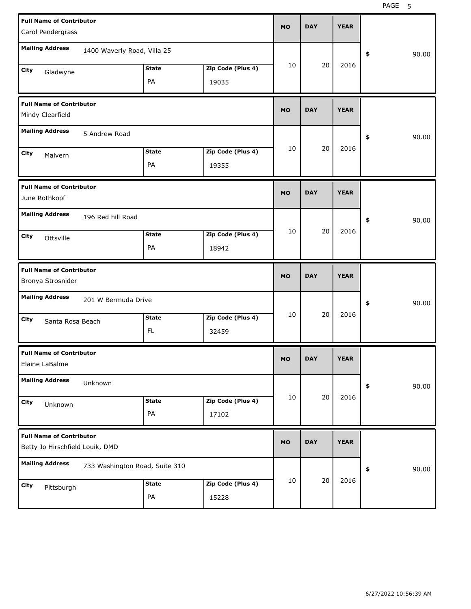| <b>Full Name of Contributor</b><br>Carol Pendergrass               |                                |                    |                            | <b>MO</b> | <b>DAY</b> | <b>YEAR</b> |             |
|--------------------------------------------------------------------|--------------------------------|--------------------|----------------------------|-----------|------------|-------------|-------------|
| <b>Mailing Address</b>                                             | 1400 Waverly Road, Villa 25    |                    |                            |           |            |             | \$<br>90.00 |
| City<br>Gladwyne                                                   |                                | <b>State</b><br>PA | Zip Code (Plus 4)<br>19035 | 10        | 20         | 2016        |             |
| <b>Full Name of Contributor</b><br>Mindy Clearfield                |                                |                    |                            | <b>MO</b> | <b>DAY</b> | <b>YEAR</b> |             |
| <b>Mailing Address</b>                                             | 5 Andrew Road                  |                    |                            |           |            |             | 90.00<br>\$ |
| City<br>Malvern                                                    |                                | <b>State</b><br>PA | Zip Code (Plus 4)<br>19355 | 10        | 20         | 2016        |             |
| <b>Full Name of Contributor</b><br>June Rothkopf                   |                                |                    |                            | <b>MO</b> | <b>DAY</b> | <b>YEAR</b> |             |
| <b>Mailing Address</b>                                             | 196 Red hill Road              |                    |                            | 10        | 20         | 2016        | 90.00<br>\$ |
| City<br>Ottsville                                                  |                                | <b>State</b><br>PA | Zip Code (Plus 4)<br>18942 |           |            |             |             |
|                                                                    |                                |                    |                            |           |            |             |             |
| <b>Full Name of Contributor</b><br>Bronya Strosnider               |                                |                    |                            | <b>MO</b> | <b>DAY</b> | <b>YEAR</b> |             |
| <b>Mailing Address</b>                                             | 201 W Bermuda Drive            |                    |                            |           |            |             | 90.00<br>\$ |
| City<br>Santa Rosa Beach                                           |                                | <b>State</b><br>FL | Zip Code (Plus 4)<br>32459 | 10        | 20         | 2016        |             |
| <b>Full Name of Contributor</b><br>Elaine LaBalme                  |                                |                    |                            | МO        | <b>DAY</b> | <b>YEAR</b> |             |
| <b>Mailing Address</b>                                             | Unknown                        |                    |                            |           |            |             | 90.00<br>\$ |
| City<br>Unknown                                                    |                                | <b>State</b><br>PA | Zip Code (Plus 4)<br>17102 | 10        | 20         | 2016        |             |
| <b>Full Name of Contributor</b><br>Betty Jo Hirschfield Louik, DMD |                                |                    |                            | <b>MO</b> | <b>DAY</b> | <b>YEAR</b> |             |
| <b>Mailing Address</b>                                             | 733 Washington Road, Suite 310 |                    |                            | 10        | 20         | 2016        | 90.00<br>\$ |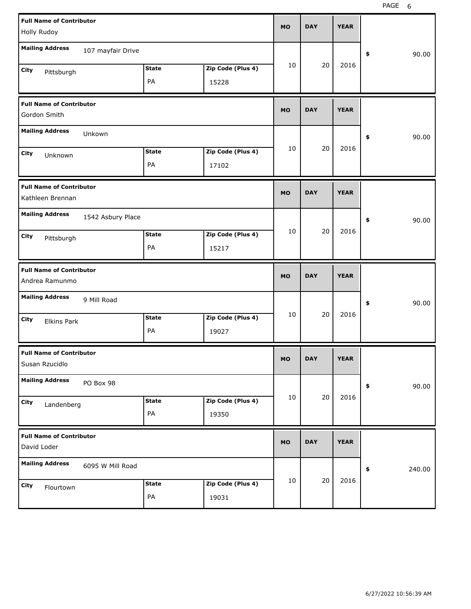| <b>Full Name of Contributor</b><br>Holly Rudoy      |                   |                    |                            | <b>MO</b> | <b>DAY</b> | <b>YEAR</b> |              |       |
|-----------------------------------------------------|-------------------|--------------------|----------------------------|-----------|------------|-------------|--------------|-------|
| <b>Mailing Address</b>                              | 107 mayfair Drive |                    |                            |           |            |             | \$           | 90.00 |
| City<br>Pittsburgh                                  |                   | <b>State</b><br>PA | Zip Code (Plus 4)<br>15228 | 10        | 20         | 2016        |              |       |
| <b>Full Name of Contributor</b><br>Gordon Smith     |                   |                    |                            | <b>MO</b> | <b>DAY</b> | <b>YEAR</b> |              |       |
| <b>Mailing Address</b>                              | Unkown            |                    |                            |           |            |             | \$           | 90.00 |
| City<br>Unknown                                     |                   | <b>State</b><br>PA | Zip Code (Plus 4)<br>17102 | 10        | 20         | 2016        |              |       |
| <b>Full Name of Contributor</b><br>Kathleen Brennan |                   |                    |                            | <b>MO</b> | <b>DAY</b> | <b>YEAR</b> |              |       |
| <b>Mailing Address</b>                              | 1542 Asbury Place |                    |                            |           |            |             | \$           | 90.00 |
| City<br>Pittsburgh                                  |                   | <b>State</b><br>PA | Zip Code (Plus 4)<br>15217 | 10        | 20         | 2016        |              |       |
|                                                     |                   |                    |                            |           |            |             |              |       |
| <b>Full Name of Contributor</b><br>Andrea Ramunmo   |                   |                    |                            | <b>MO</b> | <b>DAY</b> | <b>YEAR</b> |              |       |
| <b>Mailing Address</b>                              | 9 Mill Road       |                    |                            |           |            |             | \$           | 90.00 |
| City<br><b>Elkins Park</b>                          |                   | <b>State</b><br>PA | Zip Code (Plus 4)<br>19027 | 10        | 20         | 2016        |              |       |
| <b>Full Name of Contributor</b><br>Susan Rzucidlo   |                   |                    |                            | <b>MO</b> | <b>DAY</b> | <b>YEAR</b> |              |       |
| <b>Mailing Address</b>                              | PO Box 98         |                    |                            |           |            |             | \$           | 90.00 |
| City<br>Landenberg                                  |                   | <b>State</b><br>PA | Zip Code (Plus 4)<br>19350 | 10        | 20         | 2016        |              |       |
| <b>Full Name of Contributor</b><br>David Loder      |                   |                    |                            | <b>MO</b> | <b>DAY</b> | <b>YEAR</b> |              |       |
| <b>Mailing Address</b>                              | 6095 W Mill Road  |                    |                            | 10        | 20         | 2016        | \$<br>240.00 |       |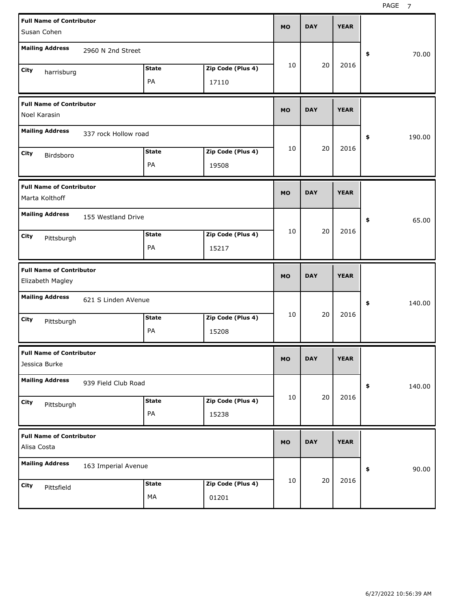| <b>Full Name of Contributor</b><br>Susan Cohen      |                      |                    |                            | <b>MO</b> | <b>DAY</b> | <b>YEAR</b> |              |
|-----------------------------------------------------|----------------------|--------------------|----------------------------|-----------|------------|-------------|--------------|
| <b>Mailing Address</b>                              | 2960 N 2nd Street    |                    |                            |           |            |             |              |
|                                                     |                      |                    |                            | 10        | 20         | 2016        | 70.00<br>\$  |
| City<br>harrisburg                                  |                      | <b>State</b><br>PA | Zip Code (Plus 4)<br>17110 |           |            |             |              |
| <b>Full Name of Contributor</b><br>Noel Karasin     |                      |                    |                            | <b>MO</b> | <b>DAY</b> | <b>YEAR</b> |              |
| <b>Mailing Address</b>                              | 337 rock Hollow road |                    |                            |           |            |             | 190.00<br>\$ |
| City<br>Birdsboro                                   |                      | <b>State</b>       | Zip Code (Plus 4)          | 10        | 20         | 2016        |              |
|                                                     |                      | PA                 | 19508                      |           |            |             |              |
| <b>Full Name of Contributor</b><br>Marta Kolthoff   |                      |                    |                            | <b>MO</b> | <b>DAY</b> | <b>YEAR</b> |              |
| <b>Mailing Address</b>                              | 155 Westland Drive   |                    |                            |           |            |             | \$<br>65.00  |
| City<br>Pittsburgh                                  |                      | <b>State</b>       | Zip Code (Plus 4)          | 10        | 20         | 2016        |              |
|                                                     |                      | PA                 | 15217                      |           |            |             |              |
|                                                     |                      |                    |                            |           |            |             |              |
| <b>Full Name of Contributor</b><br>Elizabeth Magley |                      |                    |                            | <b>MO</b> | <b>DAY</b> | <b>YEAR</b> |              |
| <b>Mailing Address</b>                              | 621 S Linden AVenue  |                    |                            |           |            |             | \$<br>140.00 |
| City                                                |                      | <b>State</b>       | Zip Code (Plus 4)          | 10        | 20         | 2016        |              |
| Pittsburgh                                          |                      | PA                 | 15208                      |           |            |             |              |
| <b>Full Name of Contributor</b><br>Jessica Burke    |                      |                    |                            | MO        | <b>DAY</b> | <b>YEAR</b> |              |
| <b>Mailing Address</b>                              | 939 Field Club Road  |                    |                            |           |            |             | 140.00<br>\$ |
| City                                                |                      | <b>State</b>       | Zip Code (Plus 4)          | 10        | 20         | 2016        |              |
| Pittsburgh                                          |                      | PA                 | 15238                      |           |            |             |              |
| <b>Full Name of Contributor</b><br>Alisa Costa      |                      |                    |                            | <b>MO</b> | <b>DAY</b> | <b>YEAR</b> |              |
| <b>Mailing Address</b>                              | 163 Imperial Avenue  |                    |                            |           |            |             | 90.00<br>\$  |
| City<br>Pittsfield                                  |                      | <b>State</b>       | Zip Code (Plus 4)          | 10        | 20         | 2016        |              |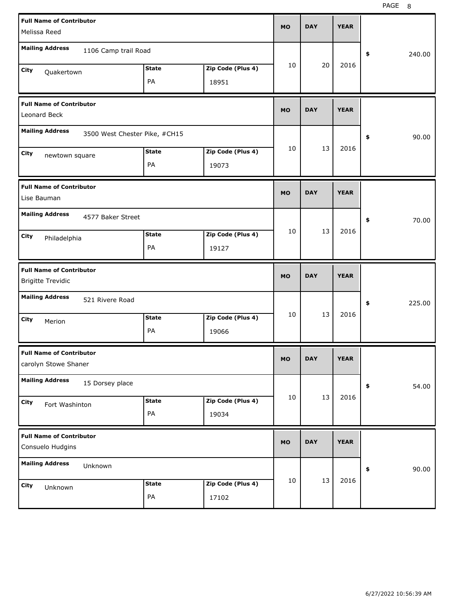| <b>Full Name of Contributor</b><br>Melissa Reed             |                    |                            | MO        | <b>DAY</b> | <b>YEAR</b> |              |
|-------------------------------------------------------------|--------------------|----------------------------|-----------|------------|-------------|--------------|
| <b>Mailing Address</b><br>1106 Camp trail Road              |                    |                            |           |            |             | \$<br>240.00 |
| City<br>Quakertown                                          | <b>State</b><br>PA | Zip Code (Plus 4)<br>18951 | 10        | 20         | 2016        |              |
| <b>Full Name of Contributor</b><br>Leonard Beck             |                    |                            | MO        | <b>DAY</b> | <b>YEAR</b> |              |
| <b>Mailing Address</b><br>3500 West Chester Pike, #CH15     |                    |                            |           |            |             | 90.00<br>\$  |
| City<br>newtown square                                      | <b>State</b><br>PA | Zip Code (Plus 4)<br>19073 | 10        | 13         | 2016        |              |
| <b>Full Name of Contributor</b><br>Lise Bauman              |                    |                            | MO        | <b>DAY</b> | <b>YEAR</b> |              |
| <b>Mailing Address</b><br>4577 Baker Street                 |                    |                            |           |            |             | \$<br>70.00  |
| City<br>Philadelphia                                        | <b>State</b><br>PA | Zip Code (Plus 4)<br>19127 | 10        | 13         | 2016        |              |
|                                                             |                    |                            |           |            |             |              |
| <b>Full Name of Contributor</b><br><b>Brigitte Trevidic</b> |                    |                            | MO        | <b>DAY</b> | <b>YEAR</b> |              |
| <b>Mailing Address</b><br>521 Rivere Road                   |                    |                            |           |            |             | 225.00<br>\$ |
| City<br>Merion                                              | <b>State</b><br>PA | Zip Code (Plus 4)<br>19066 | 10        | 13         | 2016        |              |
| <b>Full Name of Contributor</b><br>carolyn Stowe Shaner     |                    |                            | MU.       | DAY        | <b>YEAR</b> |              |
| <b>Mailing Address</b><br>15 Dorsey place                   |                    |                            |           |            |             | 54.00<br>\$  |
| City<br>Fort Washinton                                      | <b>State</b><br>PA | Zip Code (Plus 4)<br>19034 | 10        | 13         | 2016        |              |
| <b>Full Name of Contributor</b><br>Consuelo Hudgins         |                    |                            | <b>MO</b> | <b>DAY</b> | <b>YEAR</b> |              |
| <b>Mailing Address</b><br>Unknown                           |                    |                            |           |            |             | 90.00<br>\$  |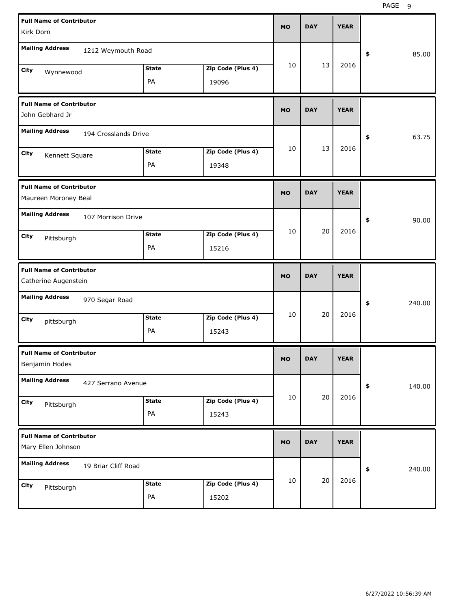PAGE 9

| <b>Full Name of Contributor</b><br>Kirk Dorn            |                    |                            | <b>MO</b> | <b>DAY</b> | <b>YEAR</b> |              |
|---------------------------------------------------------|--------------------|----------------------------|-----------|------------|-------------|--------------|
| <b>Mailing Address</b><br>1212 Weymouth Road            |                    |                            |           |            |             | 85.00<br>\$  |
| City<br>Wynnewood                                       | <b>State</b><br>PA | Zip Code (Plus 4)<br>19096 | 10        | 13         | 2016        |              |
| <b>Full Name of Contributor</b><br>John Gebhard Jr      |                    |                            | <b>MO</b> | <b>DAY</b> | <b>YEAR</b> |              |
| <b>Mailing Address</b><br>194 Crosslands Drive          |                    |                            |           |            |             | 63.75<br>\$  |
| City<br>Kennett Square                                  | <b>State</b><br>PA | Zip Code (Plus 4)<br>19348 | 10        | 13         | 2016        |              |
| <b>Full Name of Contributor</b><br>Maureen Moroney Beal |                    |                            | <b>MO</b> | <b>DAY</b> | <b>YEAR</b> |              |
| <b>Mailing Address</b><br>107 Morrison Drive            |                    |                            |           |            |             | 90.00<br>\$  |
| City<br>Pittsburgh                                      | <b>State</b><br>PA | Zip Code (Plus 4)<br>15216 | 10        | 20         | 2016        |              |
|                                                         |                    |                            |           |            |             |              |
| <b>Full Name of Contributor</b><br>Catherine Augenstein |                    |                            | <b>MO</b> | <b>DAY</b> | <b>YEAR</b> |              |
| <b>Mailing Address</b><br>970 Segar Road                |                    |                            |           |            |             | 240.00<br>\$ |
| City<br>pittsburgh                                      | <b>State</b><br>PA | Zip Code (Plus 4)<br>15243 | 10        | 20         | 2016        |              |
| <b>Full Name of Contributor</b><br>Benjamin Hodes       |                    |                            | <b>MO</b> | <b>DAY</b> | <b>YEAR</b> |              |
| <b>Mailing Address</b><br>427 Serrano Avenue            |                    |                            |           |            |             | \$<br>140.00 |
| City<br>Pittsburgh                                      | <b>State</b><br>PA | Zip Code (Plus 4)<br>15243 | 10        | 20         | 2016        |              |
| <b>Full Name of Contributor</b><br>Mary Ellen Johnson   |                    |                            | <b>MO</b> | <b>DAY</b> | <b>YEAR</b> |              |
| <b>Mailing Address</b><br>19 Briar Cliff Road           |                    |                            | 10        | 20         | 2016        | 240.00<br>\$ |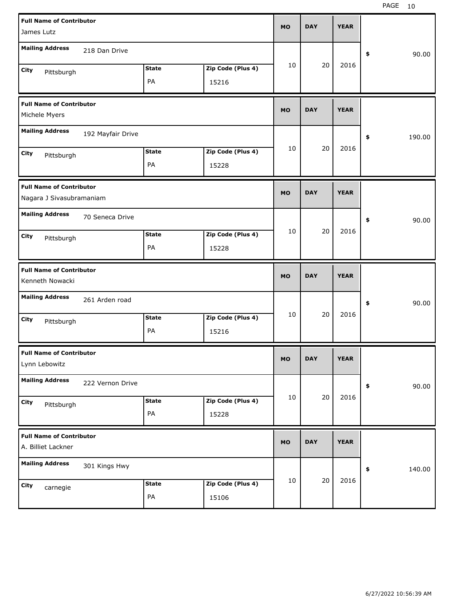| <b>Full Name of Contributor</b><br>James Lutz               |                   |                    |                            | <b>MO</b> | <b>DAY</b> | <b>YEAR</b> |              |
|-------------------------------------------------------------|-------------------|--------------------|----------------------------|-----------|------------|-------------|--------------|
| <b>Mailing Address</b>                                      | 218 Dan Drive     |                    |                            |           |            |             | \$<br>90.00  |
| City<br>Pittsburgh                                          |                   | <b>State</b><br>PA | Zip Code (Plus 4)<br>15216 | 10        | 20         | 2016        |              |
| <b>Full Name of Contributor</b><br>Michele Myers            |                   |                    |                            | <b>MO</b> | <b>DAY</b> | <b>YEAR</b> |              |
| <b>Mailing Address</b>                                      | 192 Mayfair Drive |                    |                            |           |            |             | \$<br>190.00 |
| City<br>Pittsburgh                                          |                   | <b>State</b><br>PA | Zip Code (Plus 4)<br>15228 | 10        | 20         | 2016        |              |
| <b>Full Name of Contributor</b><br>Nagara J Sivasubramaniam |                   |                    |                            | <b>MO</b> | <b>DAY</b> | <b>YEAR</b> |              |
| <b>Mailing Address</b>                                      | 70 Seneca Drive   |                    |                            |           |            |             | \$<br>90.00  |
| City<br>Pittsburgh                                          |                   | <b>State</b><br>PA | Zip Code (Plus 4)<br>15228 | 10        | 20         | 2016        |              |
|                                                             |                   |                    |                            |           |            |             |              |
| <b>Full Name of Contributor</b><br>Kenneth Nowacki          |                   |                    |                            | <b>MO</b> | <b>DAY</b> | <b>YEAR</b> |              |
| <b>Mailing Address</b>                                      | 261 Arden road    |                    |                            |           |            |             | \$<br>90.00  |
| City<br>Pittsburgh                                          |                   | <b>State</b><br>PA | Zip Code (Plus 4)<br>15216 | 10        | 20         | 2016        |              |
| <b>Full Name of Contributor</b><br>Lynn Lebowitz            |                   |                    |                            | <b>MO</b> | <b>DAY</b> | <b>YEAR</b> |              |
| <b>Mailing Address</b>                                      | 222 Vernon Drive  |                    |                            |           |            |             | 90.00<br>\$  |
| City<br>Pittsburgh                                          |                   | <b>State</b><br>PA | Zip Code (Plus 4)<br>15228 | 10        | 20         | 2016        |              |
| <b>Full Name of Contributor</b><br>A. Billiet Lackner       |                   |                    |                            | <b>MO</b> | <b>DAY</b> | <b>YEAR</b> |              |
| <b>Mailing Address</b>                                      | 301 Kings Hwy     |                    |                            |           | 20         | 2016        | 140.00<br>\$ |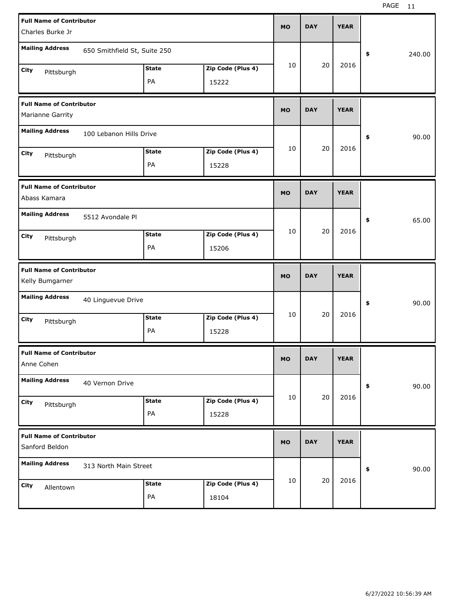| <b>Full Name of Contributor</b>                     |                              |              |                   | <b>MO</b> | <b>DAY</b> | <b>YEAR</b> |              |
|-----------------------------------------------------|------------------------------|--------------|-------------------|-----------|------------|-------------|--------------|
| Charles Burke Jr                                    |                              |              |                   |           |            |             |              |
| <b>Mailing Address</b>                              | 650 Smithfield St, Suite 250 |              |                   |           |            |             | 240.00<br>\$ |
| City<br>Pittsburgh                                  |                              | <b>State</b> | Zip Code (Plus 4) | 10        | 20         | 2016        |              |
|                                                     |                              | PA           | 15222             |           |            |             |              |
| <b>Full Name of Contributor</b><br>Marianne Garrity |                              |              |                   | <b>MO</b> | <b>DAY</b> | <b>YEAR</b> |              |
| <b>Mailing Address</b>                              | 100 Lebanon Hills Drive      |              |                   |           |            |             | \$<br>90.00  |
| City<br>Pittsburgh                                  |                              | <b>State</b> | Zip Code (Plus 4) | 10        | 20         | 2016        |              |
|                                                     |                              | PA           | 15228             |           |            |             |              |
| <b>Full Name of Contributor</b><br>Abass Kamara     |                              |              |                   | <b>MO</b> | <b>DAY</b> | <b>YEAR</b> |              |
| <b>Mailing Address</b>                              | 5512 Avondale Pl             |              |                   |           |            |             | 65.00<br>\$  |
| City<br>Pittsburgh                                  |                              | <b>State</b> | Zip Code (Plus 4) | 10        | 20         | 2016        |              |
|                                                     |                              | PA           | 15206             |           |            |             |              |
|                                                     |                              |              |                   |           |            |             |              |
| <b>Full Name of Contributor</b><br>Kelly Bumgarner  |                              |              |                   | <b>MO</b> | <b>DAY</b> | <b>YEAR</b> |              |
| <b>Mailing Address</b>                              | 40 Linguevue Drive           |              |                   |           |            |             | 90.00<br>\$  |
| City                                                |                              | <b>State</b> | Zip Code (Plus 4) | 10        | 20         | 2016        |              |
| Pittsburgh                                          |                              | PA           | 15228             |           |            |             |              |
| <b>Full Name of Contributor</b><br>Anne Cohen       |                              |              |                   | МO        | <b>DAY</b> | <b>YEAR</b> |              |
| <b>Mailing Address</b>                              | 40 Vernon Drive              |              |                   |           |            |             | 90.00<br>\$  |
| City                                                |                              | <b>State</b> | Zip Code (Plus 4) | 10        | 20         | 2016        |              |
| Pittsburgh                                          |                              | PA           | 15228             |           |            |             |              |
| <b>Full Name of Contributor</b><br>Sanford Beldon   |                              |              |                   | <b>MO</b> | <b>DAY</b> | <b>YEAR</b> |              |
| <b>Mailing Address</b>                              | 313 North Main Street        |              |                   |           |            |             | 90.00<br>\$  |
| City<br>Allentown                                   |                              | <b>State</b> | Zip Code (Plus 4) | 10        | 20         | 2016        |              |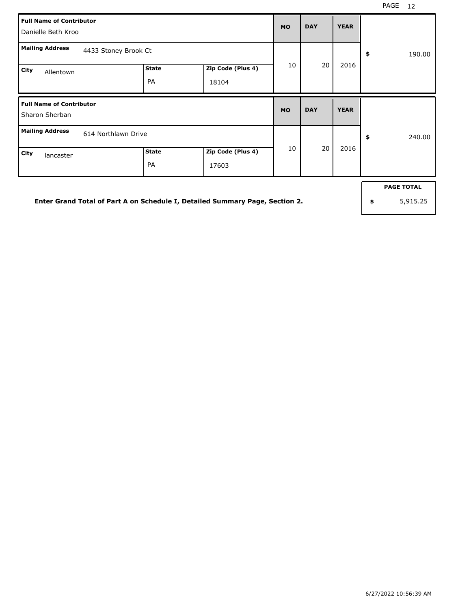|      | <b>Full Name of Contributor</b><br>Danielle Beth Kroo |                      |                    |                            | <b>MO</b> | <b>DAY</b> | <b>YEAR</b> |              |
|------|-------------------------------------------------------|----------------------|--------------------|----------------------------|-----------|------------|-------------|--------------|
|      | <b>Mailing Address</b>                                | 4433 Stoney Brook Ct |                    |                            |           |            |             | \$<br>190.00 |
| City | Allentown                                             |                      | <b>State</b><br>PA | Zip Code (Plus 4)<br>18104 | 10        | 20         | 2016        |              |
|      |                                                       |                      |                    |                            |           |            |             |              |
|      | <b>Full Name of Contributor</b><br>Sharon Sherban     |                      |                    |                            | <b>MO</b> | <b>DAY</b> | <b>YEAR</b> |              |
|      | <b>Mailing Address</b>                                | 614 Northlawn Drive  |                    |                            | 10        | 20         | 2016        | \$<br>240.00 |

**Enter Grand Total of Part A on Schedule I, Detailed Summary Page, Section 2.**

**PAGE TOTAL**

**\$** 5,915.25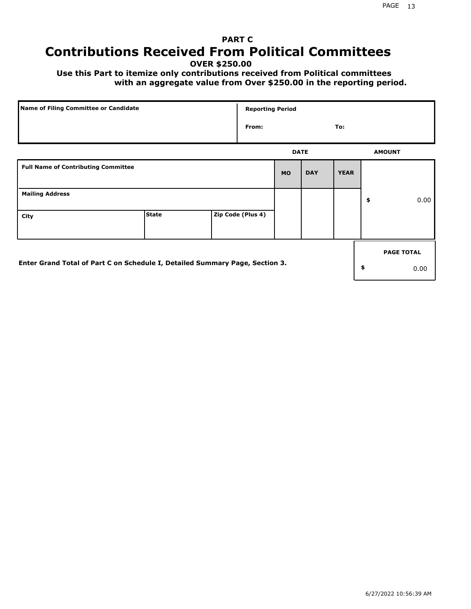# **PART C Contributions Received From Political Committees**

**OVER \$250.00**

 **Use this Part to itemize only contributions received from Political committees with an aggregate value from Over \$250.00 in the reporting period.**

|                                                                              | Name of Filing Committee or Candidate |  |                   | <b>Reporting Period</b> |            |             |    |                   |  |  |
|------------------------------------------------------------------------------|---------------------------------------|--|-------------------|-------------------------|------------|-------------|----|-------------------|--|--|
|                                                                              |                                       |  | From:             |                         |            | To:         |    |                   |  |  |
|                                                                              |                                       |  |                   | <b>DATE</b>             |            |             |    | <b>AMOUNT</b>     |  |  |
| <b>Full Name of Contributing Committee</b>                                   |                                       |  |                   | <b>MO</b>               | <b>DAY</b> | <b>YEAR</b> |    |                   |  |  |
| <b>Mailing Address</b>                                                       |                                       |  |                   |                         |            |             | \$ | 0.00              |  |  |
| City                                                                         | <b>State</b>                          |  | Zip Code (Plus 4) |                         |            |             |    |                   |  |  |
|                                                                              |                                       |  |                   |                         |            |             |    | <b>PAGE TOTAL</b> |  |  |
| Enter Grand Total of Part C on Schedule I, Detailed Summary Page, Section 3. |                                       |  |                   |                         |            |             | \$ | 0.00              |  |  |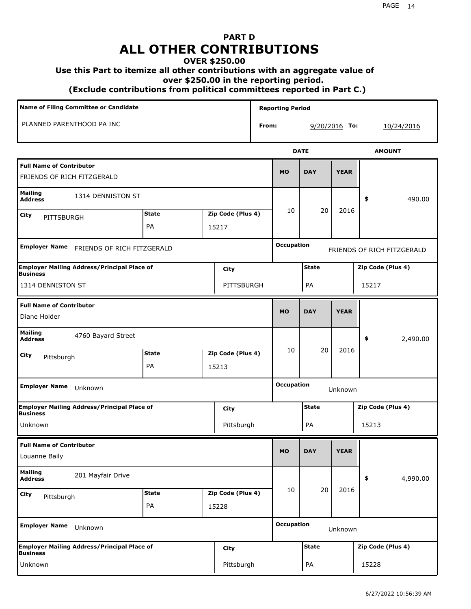## **PART D ALL OTHER CONTRIBUTIONS**

## **OVER \$250.00**

### **Use this Part to itemize all other contributions with an aggregate value of**

 **over \$250.00 in the reporting period.**

 **(Exclude contributions from political committees reported in Part C.)** 

| Name of Filing Committee or Candidate                                 |                            |  |                   |                   | <b>Reporting Period</b> |                   |                            |                   |
|-----------------------------------------------------------------------|----------------------------|--|-------------------|-------------------|-------------------------|-------------------|----------------------------|-------------------|
| PLANNED PARENTHOOD PA INC                                             |                            |  |                   | From:             |                         | $9/20/2016$ To:   |                            | 10/24/2016        |
|                                                                       |                            |  |                   |                   |                         | <b>DATE</b>       |                            | <b>AMOUNT</b>     |
| <b>Full Name of Contributor</b><br>FRIENDS OF RICH FITZGERALD         |                            |  |                   |                   | <b>MO</b>               | <b>DAY</b>        | <b>YEAR</b>                |                   |
| Mailing<br>1314 DENNISTON ST<br><b>Address</b>                        |                            |  |                   |                   |                         |                   |                            | 490.00<br>\$      |
| City<br>PITTSBURGH                                                    | <b>State</b>               |  | Zip Code (Plus 4) |                   | 10                      | 20                | 2016                       |                   |
|                                                                       | PA                         |  | 15217             |                   |                         |                   |                            |                   |
| <b>Employer Name</b>                                                  | FRIENDS OF RICH FITZGERALD |  |                   | <b>Occupation</b> |                         |                   | FRIENDS OF RICH FITZGERALD |                   |
| <b>Employer Mailing Address/Principal Place of</b><br>City            |                            |  |                   | <b>State</b>      |                         | Zip Code (Plus 4) |                            |                   |
| <b>Business</b><br>1314 DENNISTON ST<br>PITTSBURGH                    |                            |  |                   | PA                |                         | 15217             |                            |                   |
| <b>Full Name of Contributor</b><br>Diane Holder                       |                            |  | <b>MO</b>         | <b>DAY</b>        | <b>YEAR</b>             |                   |                            |                   |
| <b>Mailing</b><br>4760 Bayard Street<br><b>Address</b>                |                            |  |                   |                   |                         |                   |                            | \$<br>2,490.00    |
| <b>City</b><br>Pittsburgh                                             | <b>State</b>               |  | Zip Code (Plus 4) |                   | 10                      | 20                | 2016                       |                   |
|                                                                       | PA                         |  | 15213             |                   |                         |                   |                            |                   |
| <b>Employer Name</b><br>Unknown                                       |                            |  |                   |                   | <b>Occupation</b>       | Unknown           |                            |                   |
| <b>Employer Mailing Address/Principal Place of</b><br><b>Business</b> |                            |  | City              |                   |                         | <b>State</b>      |                            | Zip Code (Plus 4) |
| Unknown                                                               |                            |  | Pittsburgh        |                   |                         | PA                |                            | 15213             |
| <b>Full Name of Contributor</b><br>Louanne Baily                      |                            |  |                   |                   | <b>MO</b>               | <b>DAY</b>        | <b>YEAR</b>                |                   |
| <b>Mailing</b><br>201 Mayfair Drive<br><b>Address</b>                 |                            |  |                   |                   |                         |                   |                            | 4,990.00<br>\$    |
| City<br>Pittsburgh                                                    | <b>State</b>               |  | Zip Code (Plus 4) |                   | 10                      | 20                | 2016                       |                   |
|                                                                       | PA                         |  | 15228             |                   |                         |                   |                            |                   |
| <b>Employer Name</b><br>Unknown                                       |                            |  |                   |                   | <b>Occupation</b>       |                   | Unknown                    |                   |
| <b>Employer Mailing Address/Principal Place of</b><br><b>Business</b> |                            |  | <b>City</b>       |                   |                         | <b>State</b>      |                            | Zip Code (Plus 4) |
| Unknown                                                               |                            |  | Pittsburgh        |                   |                         | PA                |                            | 15228             |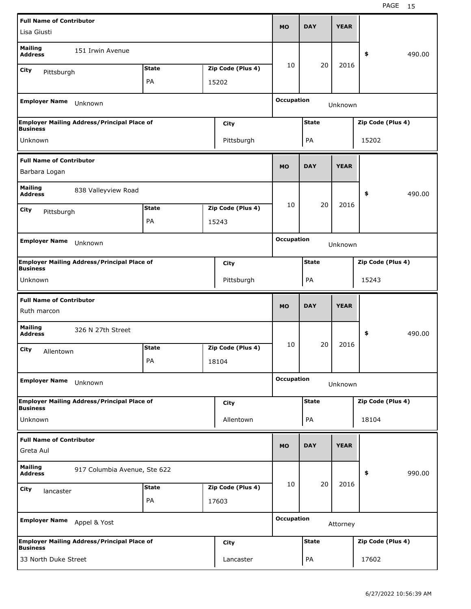|                                                  | <b>Full Name of Contributor</b>                    |              |                              |                   |                   | <b>DAY</b>   | <b>YEAR</b> |                   |        |
|--------------------------------------------------|----------------------------------------------------|--------------|------------------------------|-------------------|-------------------|--------------|-------------|-------------------|--------|
| Lisa Giusti                                      |                                                    |              |                              |                   | <b>MO</b>         |              |             |                   |        |
| <b>Mailing</b><br><b>Address</b>                 | 151 Irwin Avenue                                   |              |                              |                   |                   |              |             | \$                | 490.00 |
| City<br>Pittsburgh                               |                                                    | <b>State</b> |                              | Zip Code (Plus 4) | 10                | 20           | 2016        |                   |        |
|                                                  |                                                    | PA           |                              | 15202             |                   |              |             |                   |        |
| <b>Employer Name</b>                             | Unknown                                            |              |                              |                   | <b>Occupation</b> |              | Unknown     |                   |        |
|                                                  | <b>Employer Mailing Address/Principal Place of</b> |              |                              | City              |                   | <b>State</b> |             | Zip Code (Plus 4) |        |
| <b>Business</b>                                  |                                                    |              |                              |                   |                   |              |             |                   |        |
| Unknown                                          |                                                    |              |                              | Pittsburgh        |                   | PA           |             | 15202             |        |
| <b>Full Name of Contributor</b><br>Barbara Logan |                                                    |              |                              |                   | <b>MO</b>         | <b>DAY</b>   | <b>YEAR</b> |                   |        |
| <b>Mailing</b><br><b>Address</b>                 | 838 Valleyview Road                                |              |                              |                   |                   |              |             | \$                | 490.00 |
| City                                             |                                                    | <b>State</b> |                              | Zip Code (Plus 4) | 10                | 20           | 2016        |                   |        |
| Pittsburgh                                       |                                                    | PA           |                              | 15243             |                   |              |             |                   |        |
|                                                  |                                                    |              |                              |                   |                   |              |             |                   |        |
| <b>Employer Name</b><br>Unknown                  |                                                    |              | <b>Occupation</b><br>Unknown |                   |                   |              |             |                   |        |
| <b>Business</b>                                  | <b>Employer Mailing Address/Principal Place of</b> |              |                              | City              | <b>State</b>      |              |             | Zip Code (Plus 4) |        |
| Unknown                                          |                                                    |              |                              | Pittsburgh        |                   | PA           |             | 15243             |        |
|                                                  |                                                    |              |                              |                   |                   |              |             |                   |        |
| <b>Full Name of Contributor</b><br>Ruth marcon   |                                                    |              |                              |                   | <b>MO</b>         | <b>DAY</b>   | <b>YEAR</b> |                   |        |
| <b>Mailing</b><br><b>Address</b>                 | 326 N 27th Street                                  |              |                              |                   |                   |              |             | \$                | 490.00 |
|                                                  |                                                    | <b>State</b> |                              | Zip Code (Plus 4) | 10                | 20           | 2016        |                   |        |
| City<br>Allentown                                |                                                    | PA           |                              | 18104             |                   |              |             |                   |        |
| <b>Employer Name</b>                             | Unknown                                            |              |                              |                   | <b>Occupation</b> |              | Unknown     |                   |        |
|                                                  | <b>Employer Mailing Address/Principal Place of</b> |              |                              | City              |                   | <b>State</b> |             | Zip Code (Plus 4) |        |
| <b>Business</b><br>Unknown                       |                                                    |              |                              | Allentown         |                   | PA           |             | 18104             |        |
| <b>Full Name of Contributor</b><br>Greta Aul     |                                                    |              |                              |                   | <b>MO</b>         | <b>DAY</b>   | <b>YEAR</b> |                   |        |
| <b>Mailing</b><br><b>Address</b>                 | 917 Columbia Avenue, Ste 622                       |              |                              |                   |                   |              |             | \$                | 990.00 |
|                                                  |                                                    | <b>State</b> |                              | Zip Code (Plus 4) | 10                | 20           | 2016        |                   |        |
| City<br>lancaster                                |                                                    | PA           |                              | 17603             |                   |              |             |                   |        |
| <b>Employer Name</b>                             | Appel & Yost                                       |              |                              |                   | <b>Occupation</b> |              | Attorney    |                   |        |
| <b>Business</b>                                  | <b>Employer Mailing Address/Principal Place of</b> |              |                              | City              |                   | <b>State</b> |             | Zip Code (Plus 4) |        |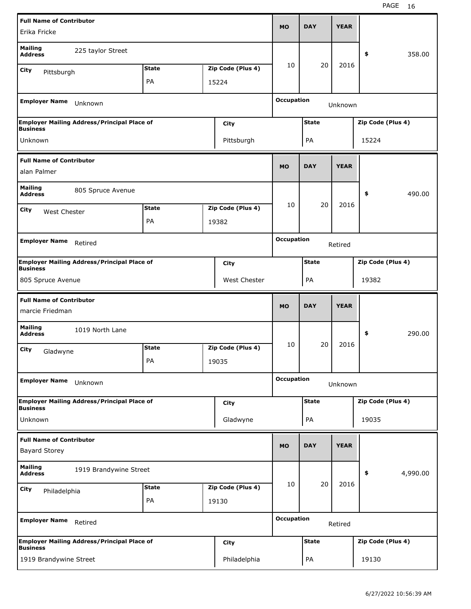|                                                         | <b>Full Name of Contributor</b>                    |              |  |                              |                   |              | <b>YEAR</b> |                   |          |  |
|---------------------------------------------------------|----------------------------------------------------|--------------|--|------------------------------|-------------------|--------------|-------------|-------------------|----------|--|
| Erika Fricke                                            |                                                    |              |  |                              | <b>MO</b>         | <b>DAY</b>   |             |                   |          |  |
| <b>Mailing</b><br><b>Address</b>                        | 225 taylor Street                                  |              |  |                              |                   |              |             | \$                | 358.00   |  |
| City<br>Pittsburgh                                      |                                                    | <b>State</b> |  | Zip Code (Plus 4)            | 10                | 20           | 2016        |                   |          |  |
|                                                         |                                                    | PA           |  | 15224                        |                   |              |             |                   |          |  |
| <b>Employer Name</b>                                    | Unknown                                            |              |  |                              | <b>Occupation</b> |              | Unknown     |                   |          |  |
|                                                         | <b>Employer Mailing Address/Principal Place of</b> |              |  | City                         | <b>State</b>      |              |             | Zip Code (Plus 4) |          |  |
| <b>Business</b><br>Unknown                              |                                                    |              |  |                              |                   |              |             |                   |          |  |
|                                                         |                                                    |              |  | Pittsburgh                   |                   | PA           |             | 15224             |          |  |
| <b>Full Name of Contributor</b><br>alan Palmer          |                                                    |              |  |                              | <b>MO</b>         | <b>DAY</b>   | <b>YEAR</b> |                   |          |  |
| <b>Mailing</b><br><b>Address</b>                        | 805 Spruce Avenue                                  |              |  |                              |                   |              |             | \$                | 490.00   |  |
| City<br>West Chester                                    |                                                    | <b>State</b> |  | Zip Code (Plus 4)            | 10                | 20           | 2016        |                   |          |  |
|                                                         | PA<br>19382                                        |              |  |                              |                   |              |             |                   |          |  |
| <b>Employer Name</b>                                    |                                                    |              |  |                              |                   |              |             |                   |          |  |
|                                                         | Retired                                            |              |  | <b>Occupation</b><br>Retired |                   |              |             |                   |          |  |
|                                                         | <b>Employer Mailing Address/Principal Place of</b> |              |  | City                         | <b>State</b>      |              |             | Zip Code (Plus 4) |          |  |
| <b>Business</b><br>805 Spruce Avenue                    |                                                    |              |  | West Chester                 |                   | PA           |             | 19382             |          |  |
|                                                         |                                                    |              |  |                              |                   |              |             |                   |          |  |
| <b>Full Name of Contributor</b>                         |                                                    |              |  |                              |                   |              |             |                   |          |  |
| marcie Friedman                                         |                                                    |              |  |                              | <b>MO</b>         | <b>DAY</b>   | <b>YEAR</b> |                   |          |  |
| <b>Mailing</b><br><b>Address</b>                        | 1019 North Lane                                    |              |  |                              |                   |              |             | \$                | 290.00   |  |
| City                                                    |                                                    | <b>State</b> |  | Zip Code (Plus 4)            | 10                | 20           | 2016        |                   |          |  |
| Gladwyne                                                |                                                    | PA           |  | 19035                        |                   |              |             |                   |          |  |
| <b>Employer Name</b>                                    | Unknown                                            |              |  |                              | <b>Occupation</b> |              | Unknown     |                   |          |  |
|                                                         | <b>Employer Mailing Address/Principal Place of</b> |              |  | City                         |                   | <b>State</b> |             | Zip Code (Plus 4) |          |  |
| <b>Business</b><br>Unknown                              |                                                    |              |  | Gladwyne                     |                   | PA           |             | 19035             |          |  |
|                                                         |                                                    |              |  |                              |                   |              |             |                   |          |  |
| <b>Full Name of Contributor</b><br><b>Bayard Storey</b> |                                                    |              |  |                              | <b>MO</b>         | <b>DAY</b>   | <b>YEAR</b> |                   |          |  |
| <b>Mailing</b><br><b>Address</b>                        | 1919 Brandywine Street                             |              |  |                              |                   |              |             | \$                | 4,990.00 |  |
| City                                                    |                                                    | <b>State</b> |  | Zip Code (Plus 4)            | 10                | 20           | 2016        |                   |          |  |
| Philadelphia                                            |                                                    | PA           |  | 19130                        |                   |              |             |                   |          |  |
| <b>Employer Name</b>                                    | Retired                                            |              |  |                              | <b>Occupation</b> |              | Retired     |                   |          |  |
| <b>Business</b>                                         | <b>Employer Mailing Address/Principal Place of</b> |              |  | <b>City</b>                  |                   | <b>State</b> |             | Zip Code (Plus 4) |          |  |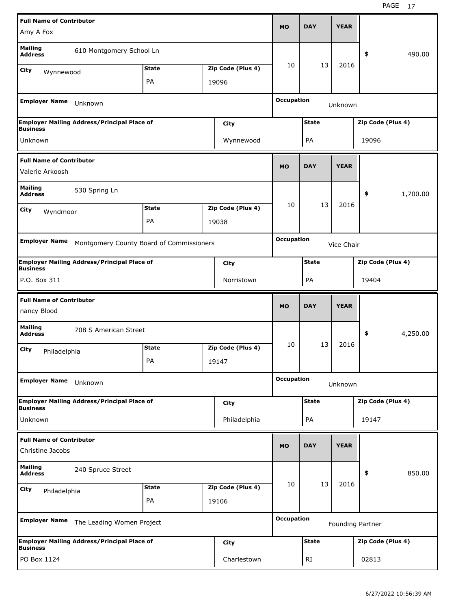|                                                     | <b>Full Name of Contributor</b>                            |              |  |                                 |                                   |              |             |                   |          |
|-----------------------------------------------------|------------------------------------------------------------|--------------|--|---------------------------------|-----------------------------------|--------------|-------------|-------------------|----------|
| Amy A Fox                                           |                                                            |              |  |                                 | <b>MO</b>                         | <b>DAY</b>   | <b>YEAR</b> |                   |          |
| <b>Mailing</b><br><b>Address</b>                    | 610 Montgomery School Ln                                   |              |  |                                 |                                   |              |             | \$                | 490.00   |
| City<br>Wynnewood                                   |                                                            | <b>State</b> |  | Zip Code (Plus 4)               | 10                                | 13           | 2016        |                   |          |
|                                                     |                                                            | PA           |  | 19096                           |                                   |              |             |                   |          |
| <b>Employer Name</b>                                | Unknown                                                    |              |  |                                 | <b>Occupation</b>                 |              | Unknown     |                   |          |
| <b>Business</b>                                     | <b>Employer Mailing Address/Principal Place of</b>         |              |  | City                            |                                   | <b>State</b> |             | Zip Code (Plus 4) |          |
| Unknown                                             |                                                            |              |  | Wynnewood                       |                                   | PA           |             | 19096             |          |
| <b>Full Name of Contributor</b><br>Valerie Arkoosh  |                                                            |              |  |                                 | <b>MO</b>                         | <b>DAY</b>   | <b>YEAR</b> |                   |          |
| <b>Mailing</b><br><b>Address</b>                    | 530 Spring Ln                                              |              |  |                                 |                                   |              |             | \$                | 1,700.00 |
|                                                     |                                                            | <b>State</b> |  | Zip Code (Plus 4)               | 10                                | 13           | 2016        |                   |          |
| City<br>Wyndmoor                                    |                                                            | PA           |  | 19038                           |                                   |              |             |                   |          |
|                                                     |                                                            |              |  |                                 |                                   |              |             |                   |          |
| <b>Employer Name</b>                                | Montgomery County Board of Commissioners                   |              |  | <b>Occupation</b><br>Vice Chair |                                   |              |             |                   |          |
| <b>Business</b>                                     | <b>Employer Mailing Address/Principal Place of</b><br>City |              |  |                                 | <b>State</b><br>Zip Code (Plus 4) |              |             |                   |          |
| P.O. Box 311                                        |                                                            |              |  | Norristown                      | PA<br>19404                       |              |             |                   |          |
| <b>Full Name of Contributor</b>                     |                                                            |              |  |                                 |                                   |              |             |                   |          |
| nancy Blood                                         |                                                            |              |  |                                 | <b>MO</b>                         | <b>DAY</b>   | <b>YEAR</b> |                   |          |
| <b>Mailing</b><br><b>Address</b>                    | 708 S American Street                                      |              |  |                                 |                                   |              |             | \$                | 4,250.00 |
| City                                                |                                                            | <b>State</b> |  | Zip Code (Plus 4)               | 10                                | 13           | 2016        |                   |          |
| Philadelphia                                        |                                                            | PA           |  | 19147                           |                                   |              |             |                   |          |
| <b>Employer Name</b>                                | Unknown                                                    |              |  |                                 | <b>Occupation</b>                 |              | Unknown     |                   |          |
| <b>Business</b>                                     | <b>Employer Mailing Address/Principal Place of</b>         |              |  | <b>City</b>                     |                                   | <b>State</b> |             | Zip Code (Plus 4) |          |
| Unknown                                             |                                                            |              |  | Philadelphia                    |                                   | PA           |             | 19147             |          |
| <b>Full Name of Contributor</b><br>Christine Jacobs |                                                            |              |  |                                 | <b>MO</b>                         | <b>DAY</b>   | <b>YEAR</b> |                   |          |
| <b>Mailing</b><br><b>Address</b>                    | 240 Spruce Street                                          |              |  |                                 |                                   |              |             | \$                | 850.00   |
| City                                                |                                                            | <b>State</b> |  | Zip Code (Plus 4)               | 10                                | 13           | 2016        |                   |          |
| Philadelphia                                        |                                                            | PA           |  | 19106                           |                                   |              |             |                   |          |
| <b>Employer Name</b>                                | The Leading Women Project                                  |              |  |                                 | <b>Occupation</b>                 |              |             | Founding Partner  |          |
| <b>Business</b>                                     | <b>Employer Mailing Address/Principal Place of</b>         |              |  | <b>City</b>                     |                                   | <b>State</b> |             | Zip Code (Plus 4) |          |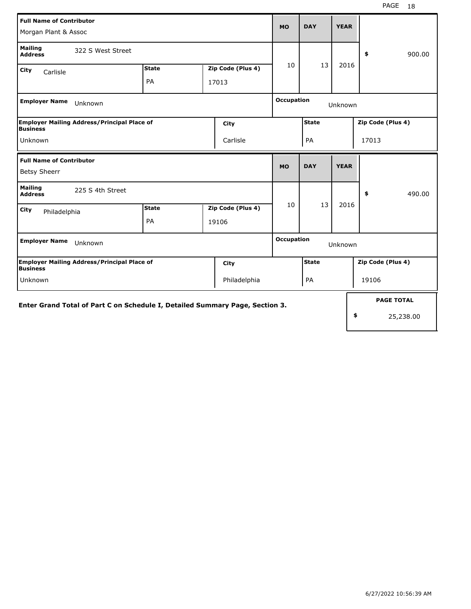| <b>Full Name of Contributor</b><br>Morgan Plant & Assoc                      |              |  |                   |                                   | <b>DAY</b>   | <b>YEAR</b> |                   |                   |
|------------------------------------------------------------------------------|--------------|--|-------------------|-----------------------------------|--------------|-------------|-------------------|-------------------|
| <b>Mailing</b><br>322 S West Street<br><b>Address</b>                        |              |  |                   |                                   |              |             | \$                | 900.00            |
| City<br>Carlisle                                                             | <b>State</b> |  | Zip Code (Plus 4) | 10                                | 13           | 2016        |                   |                   |
|                                                                              | PA           |  | 17013             |                                   |              |             |                   |                   |
| <b>Employer Name</b><br>Unknown                                              |              |  |                   | <b>Occupation</b>                 |              |             |                   |                   |
| <b>Employer Mailing Address/Principal Place of</b><br><b>Business</b>        |              |  | <b>City</b>       |                                   | <b>State</b> |             | Zip Code (Plus 4) |                   |
| Unknown                                                                      |              |  | Carlisle          |                                   | PA           |             | 17013             |                   |
| <b>Full Name of Contributor</b>                                              |              |  |                   | <b>MO</b>                         | <b>DAY</b>   | <b>YEAR</b> |                   |                   |
| <b>Betsy Sheerr</b>                                                          |              |  |                   |                                   |              |             |                   |                   |
| <b>Mailing</b><br>225 S 4th Street<br><b>Address</b>                         |              |  |                   |                                   |              |             | \$                | 490.00            |
| City<br>Philadelphia                                                         | <b>State</b> |  | Zip Code (Plus 4) | 10                                | 13           | 2016        |                   |                   |
|                                                                              | PA           |  | 19106             |                                   |              |             |                   |                   |
| <b>Employer Name</b><br>Unknown                                              |              |  |                   | <b>Occupation</b>                 |              | Unknown     |                   |                   |
| <b>Employer Mailing Address/Principal Place of</b><br><b>Business</b>        |              |  | City              | <b>State</b><br>Zip Code (Plus 4) |              |             |                   |                   |
| Philadelphia<br>Unknown                                                      |              |  |                   | PA                                |              | 19106       |                   |                   |
| Enter Grand Total of Part C on Schedule I, Detailed Summary Page, Section 3. |              |  |                   |                                   |              |             |                   | <b>PAGE TOTAL</b> |
|                                                                              |              |  |                   |                                   |              |             | \$                | 25,238.00         |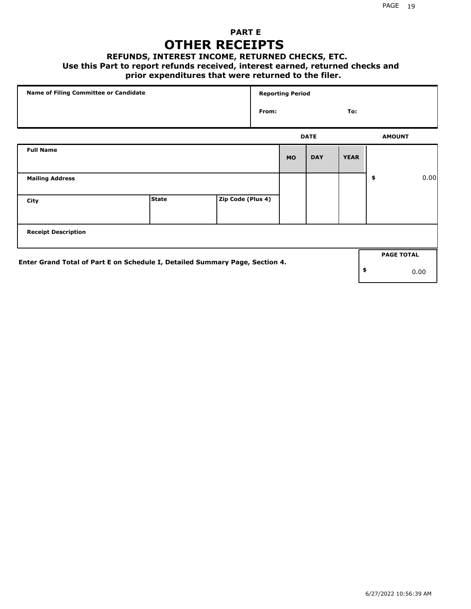## **PART E OTHER RECEIPTS**

#### **REFUNDS, INTEREST INCOME, RETURNED CHECKS, ETC.**

#### **Use this Part to report refunds received, interest earned, returned checks and**

## **prior expenditures that were returned to the filer.**

| Name of Filing Committee or Candidate                                        |              |                   |       | <b>Reporting Period</b> |             |             |     |                   |      |
|------------------------------------------------------------------------------|--------------|-------------------|-------|-------------------------|-------------|-------------|-----|-------------------|------|
|                                                                              |              |                   | From: |                         |             |             | To: |                   |      |
|                                                                              |              |                   |       |                         | <b>DATE</b> |             |     | <b>AMOUNT</b>     |      |
| <b>Full Name</b>                                                             |              |                   |       | <b>MO</b>               | <b>DAY</b>  | <b>YEAR</b> |     |                   |      |
| <b>Mailing Address</b>                                                       |              |                   |       |                         |             |             | \$  |                   | 0.00 |
| City                                                                         | <b>State</b> | Zip Code (Plus 4) |       |                         |             |             |     |                   |      |
| <b>Receipt Description</b>                                                   |              |                   |       |                         |             |             |     |                   |      |
| Enter Grand Total of Part E on Schedule I, Detailed Summary Page, Section 4. |              |                   |       |                         |             |             |     | <b>PAGE TOTAL</b> |      |
|                                                                              |              |                   |       |                         |             |             | \$  |                   | 0.00 |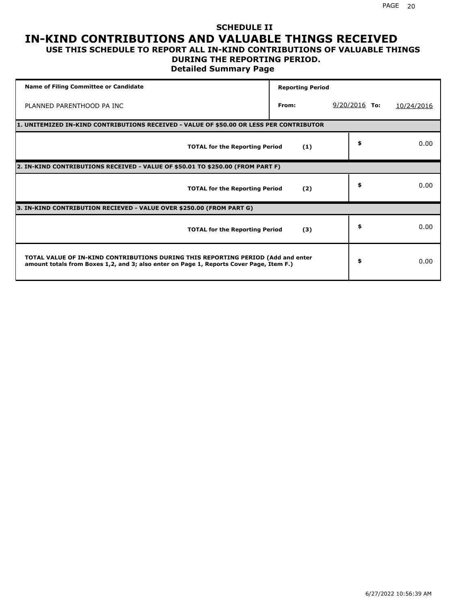### **SCHEDULE II IN-KIND CONTRIBUTIONS AND VALUABLE THINGS RECEIVED USE THIS SCHEDULE TO REPORT ALL IN-KIND CONTRIBUTIONS OF VALUABLE THINGS**

## **DURING THE REPORTING PERIOD.**

**Detailed Summary Page**

| <b>Name of Filing Committee or Candidate</b>                                                                                                                                | <b>Reporting Period</b> |                 |            |
|-----------------------------------------------------------------------------------------------------------------------------------------------------------------------------|-------------------------|-----------------|------------|
| PLANNED PARENTHOOD PA INC                                                                                                                                                   | From:                   | $9/20/2016$ To: | 10/24/2016 |
| 1. UNITEMIZED IN-KIND CONTRIBUTIONS RECEIVED - VALUE OF \$50.00 OR LESS PER CONTRIBUTOR                                                                                     |                         |                 |            |
| <b>TOTAL for the Reporting Period</b>                                                                                                                                       | (1)                     | \$              | 0.00       |
| 2. IN-KIND CONTRIBUTIONS RECEIVED - VALUE OF \$50.01 TO \$250.00 (FROM PART F)                                                                                              |                         |                 |            |
| <b>TOTAL for the Reporting Period</b>                                                                                                                                       | (2)                     | \$              | 0.00       |
| 3. IN-KIND CONTRIBUTION RECIEVED - VALUE OVER \$250.00 (FROM PART G)                                                                                                        |                         |                 |            |
| <b>TOTAL for the Reporting Period</b>                                                                                                                                       | (3)                     | \$              | 0.00       |
| TOTAL VALUE OF IN-KIND CONTRIBUTIONS DURING THIS REPORTING PERIOD (Add and enter<br>amount totals from Boxes 1,2, and 3; also enter on Page 1, Reports Cover Page, Item F.) |                         | \$              | 0.00       |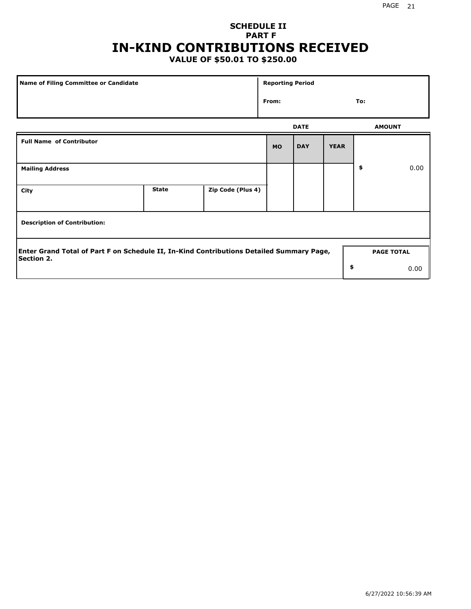## **SCHEDULE II PART F IN-KIND CONTRIBUTIONS RECEIVED**

## **VALUE OF \$50.01 TO \$250.00**

| <b>Name of Filing Committee or Candidate</b> |                                                                                          |                   |           |             | <b>Reporting Period</b> |                   |      |  |  |
|----------------------------------------------|------------------------------------------------------------------------------------------|-------------------|-----------|-------------|-------------------------|-------------------|------|--|--|
|                                              |                                                                                          |                   |           |             |                         | To:               |      |  |  |
|                                              |                                                                                          |                   |           | <b>DATE</b> |                         | <b>AMOUNT</b>     |      |  |  |
| <b>Full Name of Contributor</b>              |                                                                                          |                   | <b>MO</b> | <b>DAY</b>  | <b>YEAR</b>             |                   |      |  |  |
| <b>Mailing Address</b>                       |                                                                                          |                   |           |             |                         | \$                | 0.00 |  |  |
| City                                         | <b>State</b>                                                                             | Zip Code (Plus 4) |           |             |                         |                   |      |  |  |
| <b>Description of Contribution:</b>          |                                                                                          |                   |           |             |                         |                   |      |  |  |
| <b>Section 2.</b>                            | Enter Grand Total of Part F on Schedule II, In-Kind Contributions Detailed Summary Page, |                   |           |             |                         | <b>PAGE TOTAL</b> |      |  |  |
|                                              |                                                                                          |                   |           |             | \$                      |                   | 0.00 |  |  |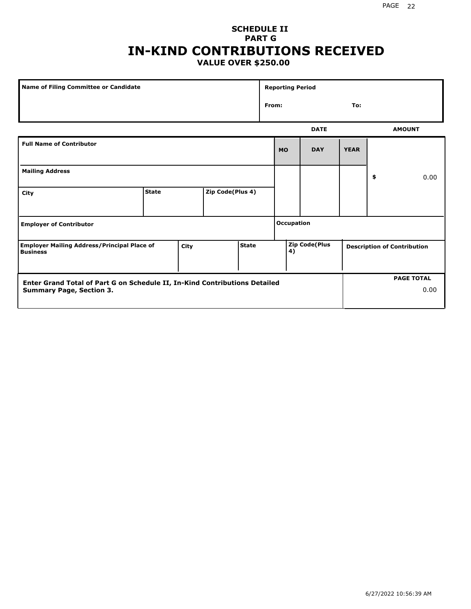### **SCHEDULE II PART G IN-KIND CONTRIBUTIONS RECEIVED VALUE OVER \$250.00**

| Name of Filing Committee or Candidate                                                  |              |  |                  |  | <b>Reporting Period</b> |                      |             |             |                                    |               |
|----------------------------------------------------------------------------------------|--------------|--|------------------|--|-------------------------|----------------------|-------------|-------------|------------------------------------|---------------|
|                                                                                        |              |  |                  |  | From:                   |                      |             | To:         |                                    |               |
|                                                                                        |              |  |                  |  |                         |                      | <b>DATE</b> |             |                                    | <b>AMOUNT</b> |
| <b>Full Name of Contributor</b>                                                        |              |  |                  |  |                         | <b>MO</b>            | <b>DAY</b>  | <b>YEAR</b> |                                    |               |
| <b>Mailing Address</b>                                                                 |              |  |                  |  |                         |                      |             |             | \$                                 | 0.00          |
| City                                                                                   | <b>State</b> |  | Zip Code(Plus 4) |  |                         |                      |             |             |                                    |               |
| <b>Employer of Contributor</b>                                                         |              |  |                  |  | <b>Occupation</b>       |                      |             |             |                                    |               |
| State<br><b>Employer Mailing Address/Principal Place of</b><br>City<br><b>Business</b> |              |  |                  |  | 4)                      | <b>Zip Code(Plus</b> |             |             | <b>Description of Contribution</b> |               |

| Enter Grand Total of Part G on Schedule II, In-Kind Contributions Detailed |  | <b>PAGE TOTAL</b> |
|----------------------------------------------------------------------------|--|-------------------|
| <b>Summary Page, Section 3.</b>                                            |  | 0.00              |
|                                                                            |  |                   |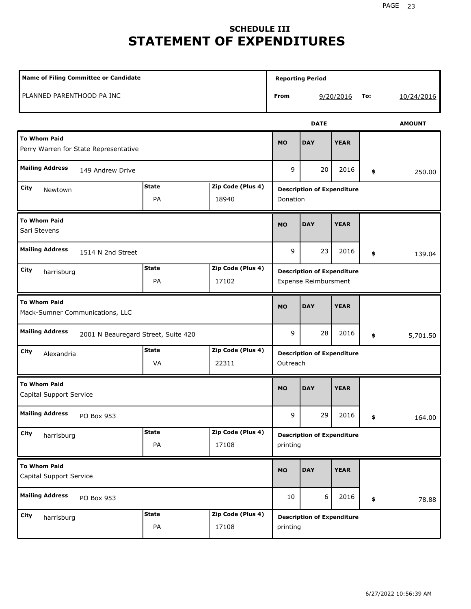# **SCHEDULE III STATEMENT OF EXPENDITURES**

| <b>Name of Filing Committee or Candidate</b>                           |                    |                            |           | <b>Reporting Period</b>                                          |             |     |               |
|------------------------------------------------------------------------|--------------------|----------------------------|-----------|------------------------------------------------------------------|-------------|-----|---------------|
| PLANNED PARENTHOOD PA INC                                              |                    |                            | From      |                                                                  | 9/20/2016   | To: | 10/24/2016    |
|                                                                        |                    |                            |           | <b>DATE</b>                                                      |             |     | <b>AMOUNT</b> |
| <b>To Whom Paid</b><br>Perry Warren for State Representative           |                    |                            | <b>MO</b> | <b>DAY</b>                                                       | <b>YEAR</b> |     |               |
| <b>Mailing Address</b><br>149 Andrew Drive                             |                    |                            | 9         | 20                                                               | 2016        | \$  | 250.00        |
| City<br>Newtown                                                        | <b>State</b><br>PA | Zip Code (Plus 4)<br>18940 | Donation  | <b>Description of Expenditure</b>                                |             |     |               |
| <b>To Whom Paid</b><br>Sari Stevens                                    |                    |                            | <b>MO</b> | <b>DAY</b>                                                       | <b>YEAR</b> |     |               |
| <b>Mailing Address</b><br>1514 N 2nd Street                            |                    |                            | 9         | 23                                                               | 2016        | \$  | 139.04        |
| <b>State</b><br>Zip Code (Plus 4)<br>City<br>harrisburg<br>PA<br>17102 |                    |                            |           | <b>Description of Expenditure</b><br><b>Expense Reimbursment</b> |             |     |               |
| <b>To Whom Paid</b><br>Mack-Sumner Communications, LLC                 |                    |                            | <b>MO</b> | <b>DAY</b>                                                       | <b>YEAR</b> |     |               |
| <b>Mailing Address</b><br>2001 N Beauregard Street, Suite 420          |                    |                            | 9         | 28                                                               | 2016        | \$  | 5,701.50      |
| City<br>Alexandria                                                     | <b>State</b><br>VA | Zip Code (Plus 4)<br>22311 | Outreach  | <b>Description of Expenditure</b>                                |             |     |               |
| <b>To Whom Paid</b><br>Capital Support Service                         |                    |                            | <b>MO</b> | <b>DAY</b>                                                       | <b>YEAR</b> |     |               |
| <b>Mailing Address</b><br>PO Box 953                                   |                    |                            | 9         | 29                                                               | 2016        | \$  | 164.00        |
| City<br>harrisburg                                                     | <b>State</b><br>PA | Zip Code (Plus 4)<br>17108 | printing  | <b>Description of Expenditure</b>                                |             |     |               |
| <b>To Whom Paid</b><br>Capital Support Service                         |                    |                            | <b>MO</b> | <b>DAY</b>                                                       | <b>YEAR</b> |     |               |
| <b>Mailing Address</b><br>PO Box 953                                   |                    |                            |           | 6                                                                | 2016        | \$  | 78.88         |
| City<br>harrisburg                                                     | <b>State</b><br>PA | Zip Code (Plus 4)<br>17108 | printing  | <b>Description of Expenditure</b>                                |             |     |               |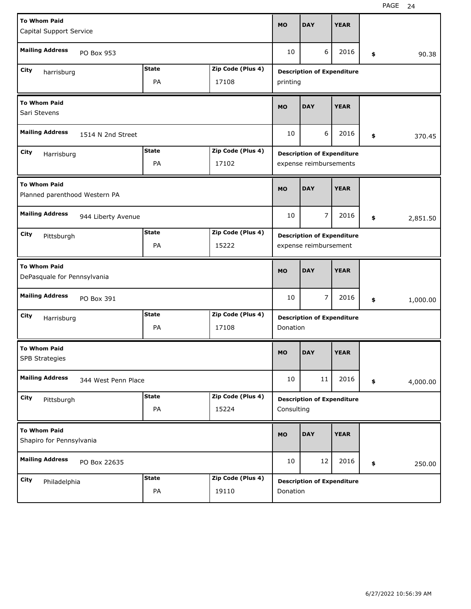| <b>To Whom Paid</b><br>Capital Support Service                         |                                                                |                    | <b>MO</b>                                     | <b>DAY</b>                                                  | <b>YEAR</b>                                                |             |          |          |  |  |
|------------------------------------------------------------------------|----------------------------------------------------------------|--------------------|-----------------------------------------------|-------------------------------------------------------------|------------------------------------------------------------|-------------|----------|----------|--|--|
| <b>Mailing Address</b><br>PO Box 953                                   |                                                                |                    | 10                                            | 6                                                           | 2016                                                       | \$          | 90.38    |          |  |  |
| <b>State</b><br>Zip Code (Plus 4)<br>City<br>harrisburg<br>PA<br>17108 |                                                                |                    | <b>Description of Expenditure</b><br>printing |                                                             |                                                            |             |          |          |  |  |
| <b>To Whom Paid</b><br>Sari Stevens                                    |                                                                |                    | <b>MO</b>                                     | <b>DAY</b>                                                  | <b>YEAR</b>                                                |             |          |          |  |  |
| <b>Mailing Address</b><br>1514 N 2nd Street                            |                                                                |                    | 10                                            | 6                                                           | 2016                                                       | \$          | 370.45   |          |  |  |
| City                                                                   | <b>State</b><br>Zip Code (Plus 4)<br>Harrisburg<br>PA<br>17102 |                    |                                               | <b>Description of Expenditure</b><br>expense reimbursements |                                                            |             |          |          |  |  |
| <b>To Whom Paid</b><br>Planned parenthood Western PA                   |                                                                |                    | <b>MO</b>                                     | <b>DAY</b>                                                  | <b>YEAR</b>                                                |             |          |          |  |  |
| <b>Mailing Address</b><br>944 Liberty Avenue                           |                                                                |                    | 10                                            | 7                                                           | 2016                                                       | \$          | 2,851.50 |          |  |  |
| City<br>Pittsburgh                                                     | <b>State</b><br>Zip Code (Plus 4)<br>PA<br>15222               |                    |                                               |                                                             | <b>Description of Expenditure</b><br>expense reimbursement |             |          |          |  |  |
| <b>To Whom Paid</b><br>DePasquale for Pennsylvania                     |                                                                |                    | <b>MO</b>                                     | <b>DAY</b>                                                  | <b>YEAR</b>                                                |             |          |          |  |  |
| <b>Mailing Address</b>                                                 | PO Box 391                                                     |                    |                                               | 10                                                          | 7                                                          | 2016        | \$       | 1,000.00 |  |  |
| City                                                                   | Zip Code (Plus 4)<br><b>State</b><br>Harrisburg<br>PA<br>17108 |                    |                                               | <b>Description of Expenditure</b><br>Donation               |                                                            |             |          |          |  |  |
| <b>To Whom Paid</b><br><b>SPB Strategies</b>                           |                                                                |                    | <b>MO</b>                                     | <b>DAY</b>                                                  | <b>YEAR</b>                                                |             |          |          |  |  |
| <b>Mailing Address</b><br>344 West Penn Place                          |                                                                |                    | 10                                            | 11                                                          | 2016                                                       | \$          | 4,000.00 |          |  |  |
|                                                                        |                                                                |                    |                                               |                                                             |                                                            |             |          |          |  |  |
| City<br>Pittsburgh                                                     |                                                                | <b>State</b><br>PA | Zip Code (Plus 4)<br>15224                    | Consulting                                                  | <b>Description of Expenditure</b>                          |             |          |          |  |  |
| <b>To Whom Paid</b><br>Shapiro for Pennsylvania                        |                                                                |                    |                                               | <b>MO</b>                                                   | <b>DAY</b>                                                 | <b>YEAR</b> |          |          |  |  |
| <b>Mailing Address</b>                                                 | PO Box 22635                                                   |                    |                                               | 10                                                          | 12                                                         | 2016        | \$       | 250.00   |  |  |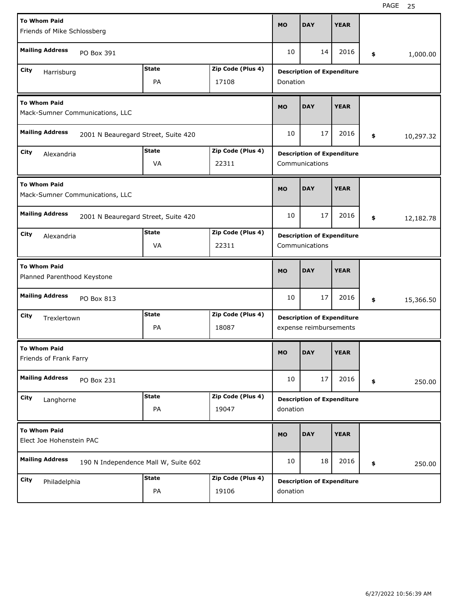| <b>To Whom Paid</b><br>Friends of Mike Schlossberg             |              |                   | <b>MO</b>                         | <b>DAY</b>                                                  | <b>YEAR</b> |    |           |  |  |
|----------------------------------------------------------------|--------------|-------------------|-----------------------------------|-------------------------------------------------------------|-------------|----|-----------|--|--|
| <b>Mailing Address</b><br>PO Box 391                           |              |                   | 10                                | 14                                                          | 2016        | \$ | 1,000.00  |  |  |
| City<br>Harrisburg                                             | <b>State</b> | Zip Code (Plus 4) |                                   | <b>Description of Expenditure</b>                           |             |    |           |  |  |
| PA<br>17108                                                    |              |                   |                                   | Donation                                                    |             |    |           |  |  |
| <b>To Whom Paid</b><br>Mack-Sumner Communications, LLC         |              |                   | <b>MO</b>                         | <b>DAY</b>                                                  | <b>YEAR</b> |    |           |  |  |
| <b>Mailing Address</b><br>2001 N Beauregard Street, Suite 420  |              |                   | 10                                | 17                                                          | 2016        | \$ | 10,297.32 |  |  |
| City<br>Alexandria                                             | <b>State</b> | Zip Code (Plus 4) | <b>Description of Expenditure</b> |                                                             |             |    |           |  |  |
|                                                                | VA<br>22311  |                   |                                   |                                                             |             |    |           |  |  |
| <b>To Whom Paid</b><br>Mack-Sumner Communications, LLC         |              |                   | <b>MO</b>                         | <b>DAY</b>                                                  | <b>YEAR</b> |    |           |  |  |
| <b>Mailing Address</b><br>2001 N Beauregard Street, Suite 420  |              |                   | 10                                | 17                                                          | 2016        | \$ | 12,182.78 |  |  |
| <b>State</b><br>Zip Code (Plus 4)<br>City<br>Alexandria        |              |                   | <b>Description of Expenditure</b> |                                                             |             |    |           |  |  |
|                                                                |              | Communications    |                                   |                                                             |             |    |           |  |  |
|                                                                |              |                   |                                   |                                                             |             |    |           |  |  |
| <b>To Whom Paid</b><br>Planned Parenthood Keystone             |              |                   | <b>MO</b>                         | <b>DAY</b>                                                  | <b>YEAR</b> |    |           |  |  |
| <b>Mailing Address</b><br>PO Box 813                           |              |                   | 10                                | 17                                                          | 2016        | \$ | 15,366.50 |  |  |
| City<br>Trexlertown                                            | <b>State</b> | Zip Code (Plus 4) |                                   |                                                             |             |    |           |  |  |
|                                                                | PA           | 18087             |                                   | <b>Description of Expenditure</b><br>expense reimbursements |             |    |           |  |  |
| <b>To Whom Paid</b><br>Friends of Frank Farry                  |              |                   | <b>MO</b>                         | <b>DAY</b>                                                  | <b>YEAR</b> |    |           |  |  |
| <b>Mailing Address</b><br>PO Box 231                           |              |                   | 10                                | 17                                                          | 2016        | \$ | 250.00    |  |  |
| City                                                           | <b>State</b> | Zip Code (Plus 4) |                                   |                                                             |             |    |           |  |  |
| Langhorne                                                      | PA           | 19047             | donation                          | <b>Description of Expenditure</b>                           |             |    |           |  |  |
| <b>To Whom Paid</b><br>Elect Joe Hohenstein PAC                |              |                   | <b>MO</b>                         | <b>DAY</b>                                                  | <b>YEAR</b> |    |           |  |  |
| <b>Mailing Address</b><br>190 N Independence Mall W, Suite 602 |              |                   | 10                                | 18                                                          | 2016        | \$ | 250.00    |  |  |
| City<br>Philadelphia                                           | <b>State</b> | Zip Code (Plus 4) |                                   | <b>Description of Expenditure</b>                           |             |    |           |  |  |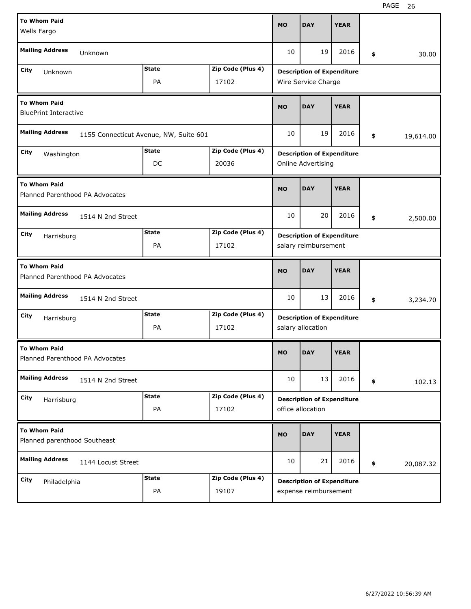| <b>To Whom Paid</b>                                    |                                        |                   | <b>MO</b>                         | <b>DAY</b>                        | <b>YEAR</b> |    |           |  |
|--------------------------------------------------------|----------------------------------------|-------------------|-----------------------------------|-----------------------------------|-------------|----|-----------|--|
| Wells Fargo                                            |                                        |                   |                                   |                                   |             |    |           |  |
| <b>Mailing Address</b><br>Unknown                      |                                        |                   |                                   | 19                                | 2016        | \$ | 30.00     |  |
| <b>State</b><br>Zip Code (Plus 4)<br>City<br>Unknown   |                                        |                   |                                   | <b>Description of Expenditure</b> |             |    |           |  |
|                                                        | Wire Service Charge                    |                   |                                   |                                   |             |    |           |  |
| <b>To Whom Paid</b><br><b>BluePrint Interactive</b>    |                                        |                   |                                   | <b>DAY</b>                        | <b>YEAR</b> |    |           |  |
| <b>Mailing Address</b>                                 | 1155 Connecticut Avenue, NW, Suite 601 |                   | 10                                | 19                                | 2016        | \$ | 19,614.00 |  |
| City<br>Washington                                     | <b>State</b>                           | Zip Code (Plus 4) |                                   | <b>Description of Expenditure</b> |             |    |           |  |
|                                                        | DC                                     | 20036             |                                   | Online Advertising                |             |    |           |  |
| <b>To Whom Paid</b><br>Planned Parenthood PA Advocates |                                        |                   |                                   | <b>DAY</b>                        | <b>YEAR</b> |    |           |  |
| <b>Mailing Address</b><br>1514 N 2nd Street            |                                        |                   |                                   | 20                                | 2016        | \$ | 2,500.00  |  |
| City<br>Harrisburg                                     | <b>State</b>                           | Zip Code (Plus 4) | <b>Description of Expenditure</b> |                                   |             |    |           |  |
|                                                        | PA                                     | 17102             |                                   | salary reimbursement              |             |    |           |  |
| <b>To Whom Paid</b><br>Planned Parenthood PA Advocates |                                        |                   |                                   |                                   |             |    |           |  |
|                                                        |                                        |                   | <b>MO</b>                         | <b>DAY</b>                        | <b>YEAR</b> |    |           |  |
| <b>Mailing Address</b><br>1514 N 2nd Street            |                                        |                   | 10                                | 13                                | 2016        | \$ | 3,234.70  |  |
| City                                                   | State                                  | Zip Code (Plus 4) |                                   | <b>Description of Expenditure</b> |             |    |           |  |
| Harrisburg                                             | PA                                     | 17102             |                                   | salary allocation                 |             |    |           |  |
| <b>To Whom Paid</b><br>Planned Parenthood PA Advocates |                                        |                   | <b>MO</b>                         | <b>DAY</b>                        | <b>YEAR</b> |    |           |  |
| <b>Mailing Address</b><br>1514 N 2nd Street            |                                        |                   | 10                                | 13                                | 2016        | \$ | 102.13    |  |
| City                                                   | <b>State</b>                           | Zip Code (Plus 4) |                                   | <b>Description of Expenditure</b> |             |    |           |  |
| Harrisburg                                             | PA                                     | 17102             |                                   | office allocation                 |             |    |           |  |
| <b>To Whom Paid</b><br>Planned parenthood Southeast    |                                        |                   | <b>MO</b>                         | <b>DAY</b>                        | <b>YEAR</b> |    |           |  |
| <b>Mailing Address</b><br>1144 Locust Street           |                                        |                   | 10                                | 21                                | 2016        | \$ | 20,087.32 |  |
| City<br>Philadelphia                                   | <b>State</b>                           | Zip Code (Plus 4) |                                   | <b>Description of Expenditure</b> |             |    |           |  |